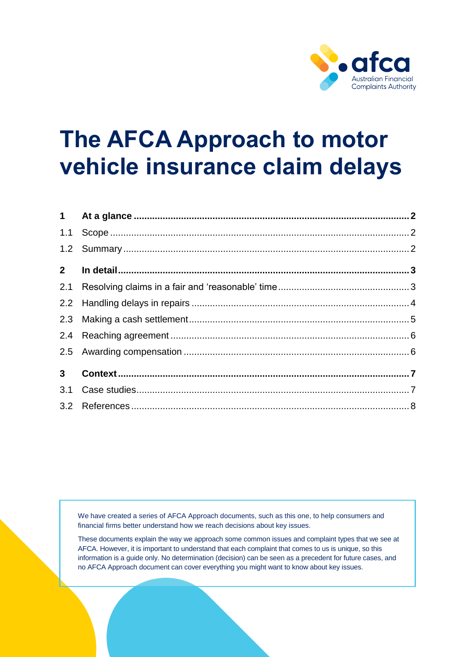

# **The AFCA Approach to motor vehicle insurance claim delays**

| 2 <sup>7</sup> |  |
|----------------|--|
|                |  |
|                |  |
|                |  |
|                |  |
|                |  |
| 3 <sup>1</sup> |  |
|                |  |
|                |  |

We have created a series of AFCA Approach documents, such as this one, to help consumers and financial firms better understand how we reach decisions about key issues.

These documents explain the way we approach some common issues and complaint types that we see at AFCA. However, it is important to understand that each complaint that comes to us is unique, so this information is a guide only. No determination (decision) can be seen as a precedent for future cases, and no AFCA Approach document can cover everything you might want to know about key issues.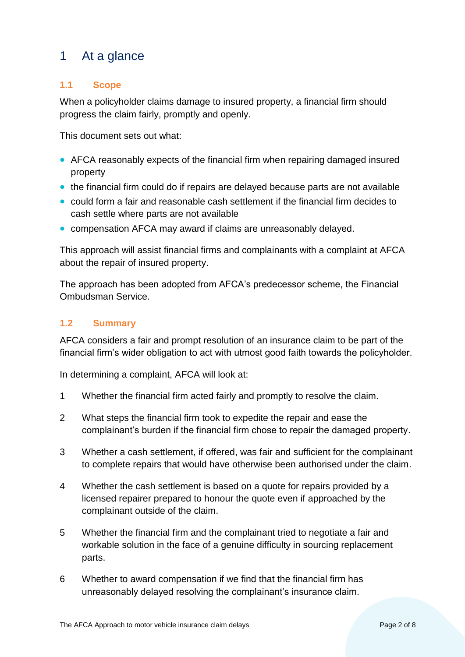# <span id="page-1-0"></span>1 At a glance

# <span id="page-1-1"></span>**1.1 Scope**

When a policyholder claims damage to insured property, a financial firm should progress the claim fairly, promptly and openly.

This document sets out what:

- AFCA reasonably expects of the financial firm when repairing damaged insured property
- the financial firm could do if repairs are delayed because parts are not available
- could form a fair and reasonable cash settlement if the financial firm decides to cash settle where parts are not available
- compensation AFCA may award if claims are unreasonably delayed.

This approach will assist financial firms and complainants with a complaint at AFCA about the repair of insured property.

The approach has been adopted from AFCA's predecessor scheme, the Financial Ombudsman Service.

# <span id="page-1-2"></span>**1.2 Summary**

AFCA considers a fair and prompt resolution of an insurance claim to be part of the financial firm's wider obligation to act with utmost good faith towards the policyholder.

In determining a complaint, AFCA will look at:

- 1 Whether the financial firm acted fairly and promptly to resolve the claim.
- 2 What steps the financial firm took to expedite the repair and ease the complainant's burden if the financial firm chose to repair the damaged property.
- 3 Whether a cash settlement, if offered, was fair and sufficient for the complainant to complete repairs that would have otherwise been authorised under the claim.
- 4 Whether the cash settlement is based on a quote for repairs provided by a licensed repairer prepared to honour the quote even if approached by the complainant outside of the claim.
- 5 Whether the financial firm and the complainant tried to negotiate a fair and workable solution in the face of a genuine difficulty in sourcing replacement parts.
- 6 Whether to award compensation if we find that the financial firm has unreasonably delayed resolving the complainant's insurance claim.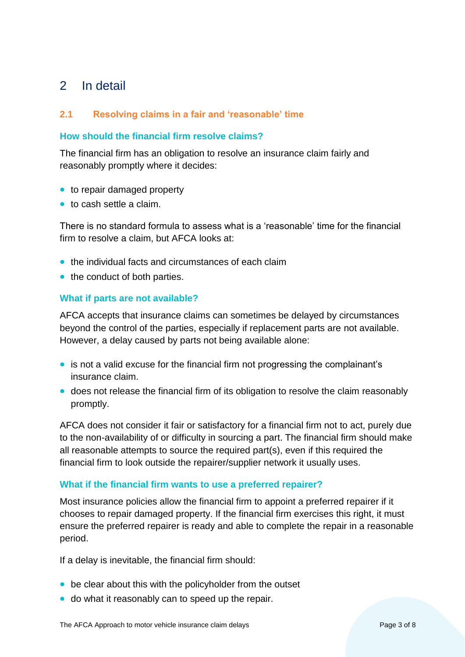# <span id="page-2-0"></span>2 In detail

# <span id="page-2-1"></span>**2.1 Resolving claims in a fair and 'reasonable' time**

## **How should the financial firm resolve claims?**

The financial firm has an obligation to resolve an insurance claim fairly and reasonably promptly where it decides:

- to repair damaged property
- to cash settle a claim.

There is no standard formula to assess what is a 'reasonable' time for the financial firm to resolve a claim, but AFCA looks at:

- the individual facts and circumstances of each claim
- the conduct of both parties.

#### **What if parts are not available?**

AFCA accepts that insurance claims can sometimes be delayed by circumstances beyond the control of the parties, especially if replacement parts are not available. However, a delay caused by parts not being available alone:

- is not a valid excuse for the financial firm not progressing the complainant's insurance claim.
- does not release the financial firm of its obligation to resolve the claim reasonably promptly.

AFCA does not consider it fair or satisfactory for a financial firm not to act, purely due to the non-availability of or difficulty in sourcing a part. The financial firm should make all reasonable attempts to source the required part(s), even if this required the financial firm to look outside the repairer/supplier network it usually uses.

#### **What if the financial firm wants to use a preferred repairer?**

Most insurance policies allow the financial firm to appoint a preferred repairer if it chooses to repair damaged property. If the financial firm exercises this right, it must ensure the preferred repairer is ready and able to complete the repair in a reasonable period.

If a delay is inevitable, the financial firm should:

- be clear about this with the policyholder from the outset
- do what it reasonably can to speed up the repair.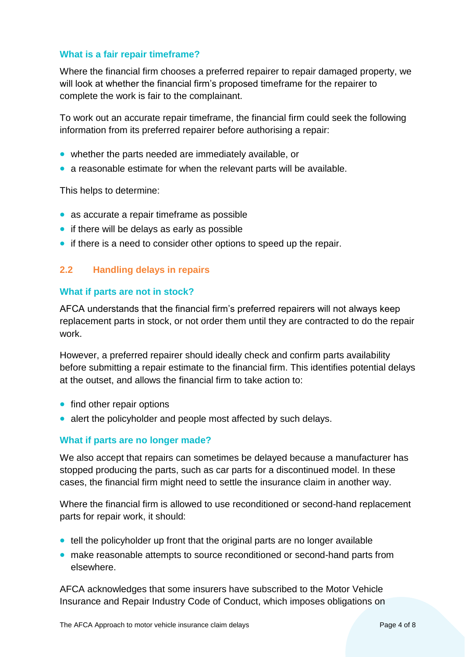#### **What is a fair repair timeframe?**

Where the financial firm chooses a preferred repairer to repair damaged property, we will look at whether the financial firm's proposed timeframe for the repairer to complete the work is fair to the complainant.

To work out an accurate repair timeframe, the financial firm could seek the following information from its preferred repairer before authorising a repair:

- whether the parts needed are immediately available, or
- a reasonable estimate for when the relevant parts will be available.

This helps to determine:

- as accurate a repair timeframe as possible
- if there will be delays as early as possible
- if there is a need to consider other options to speed up the repair.

#### <span id="page-3-0"></span>**2.2 Handling delays in repairs**

#### **What if parts are not in stock?**

AFCA understands that the financial firm's preferred repairers will not always keep replacement parts in stock, or not order them until they are contracted to do the repair work.

However, a preferred repairer should ideally check and confirm parts availability before submitting a repair estimate to the financial firm. This identifies potential delays at the outset, and allows the financial firm to take action to:

- find other repair options
- alert the policyholder and people most affected by such delays.

#### **What if parts are no longer made?**

We also accept that repairs can sometimes be delayed because a manufacturer has stopped producing the parts, such as car parts for a discontinued model. In these cases, the financial firm might need to settle the insurance claim in another way.

Where the financial firm is allowed to use reconditioned or second-hand replacement parts for repair work, it should:

- tell the policyholder up front that the original parts are no longer available
- make reasonable attempts to source reconditioned or second-hand parts from elsewhere.

AFCA acknowledges that some insurers have subscribed to the Motor Vehicle Insurance and Repair Industry Code of Conduct, which imposes obligations on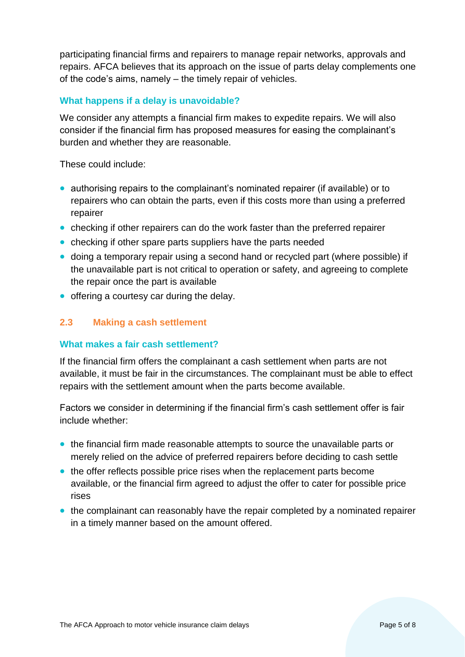participating financial firms and repairers to manage repair networks, approvals and repairs. AFCA believes that its approach on the issue of parts delay complements one of the code's aims, namely – the timely repair of vehicles.

## **What happens if a delay is unavoidable?**

We consider any attempts a financial firm makes to expedite repairs. We will also consider if the financial firm has proposed measures for easing the complainant's burden and whether they are reasonable.

These could include:

- authorising repairs to the complainant's nominated repairer (if available) or to repairers who can obtain the parts, even if this costs more than using a preferred repairer
- checking if other repairers can do the work faster than the preferred repairer
- checking if other spare parts suppliers have the parts needed
- doing a temporary repair using a second hand or recycled part (where possible) if the unavailable part is not critical to operation or safety, and agreeing to complete the repair once the part is available
- offering a courtesy car during the delay.

#### <span id="page-4-0"></span>**2.3 Making a cash settlement**

#### **What makes a fair cash settlement?**

If the financial firm offers the complainant a cash settlement when parts are not available, it must be fair in the circumstances. The complainant must be able to effect repairs with the settlement amount when the parts become available.

Factors we consider in determining if the financial firm's cash settlement offer is fair include whether:

- the financial firm made reasonable attempts to source the unavailable parts or merely relied on the advice of preferred repairers before deciding to cash settle
- the offer reflects possible price rises when the replacement parts become available, or the financial firm agreed to adjust the offer to cater for possible price rises
- the complainant can reasonably have the repair completed by a nominated repairer in a timely manner based on the amount offered.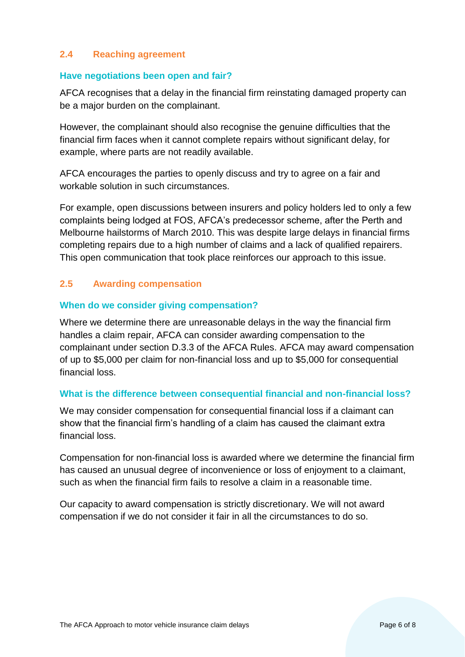## <span id="page-5-0"></span>**2.4 Reaching agreement**

#### **Have negotiations been open and fair?**

AFCA recognises that a delay in the financial firm reinstating damaged property can be a major burden on the complainant.

However, the complainant should also recognise the genuine difficulties that the financial firm faces when it cannot complete repairs without significant delay, for example, where parts are not readily available.

AFCA encourages the parties to openly discuss and try to agree on a fair and workable solution in such circumstances.

For example, open discussions between insurers and policy holders led to only a few complaints being lodged at FOS, AFCA's predecessor scheme, after the Perth and Melbourne hailstorms of March 2010. This was despite large delays in financial firms completing repairs due to a high number of claims and a lack of qualified repairers. This open communication that took place reinforces our approach to this issue.

#### <span id="page-5-1"></span>**2.5 Awarding compensation**

#### **When do we consider giving compensation?**

Where we determine there are unreasonable delays in the way the financial firm handles a claim repair, AFCA can consider awarding compensation to the complainant under section D.3.3 of the AFCA Rules. AFCA may award compensation of up to \$5,000 per claim for non-financial loss and up to \$5,000 for consequential financial loss.

#### **What is the difference between consequential financial and non-financial loss?**

We may consider compensation for consequential financial loss if a claimant can show that the financial firm's handling of a claim has caused the claimant extra financial loss.

Compensation for non-financial loss is awarded where we determine the financial firm has caused an unusual degree of inconvenience or loss of enjoyment to a claimant, such as when the financial firm fails to resolve a claim in a reasonable time.

Our capacity to award compensation is strictly discretionary. We will not award compensation if we do not consider it fair in all the circumstances to do so.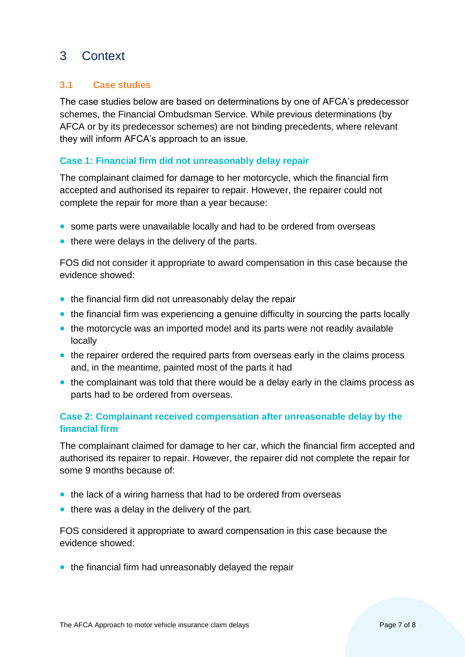# <span id="page-6-0"></span>3 Context

# <span id="page-6-1"></span>**3.1 Case studies**

The case studies below are based on determinations by one of AFCA's predecessor schemes, the Financial Ombudsman Service. While previous determinations (by AFCA or by its predecessor schemes) are not binding precedents, where relevant they will inform AFCA's approach to an issue.

## **Case 1: Financial firm did not unreasonably delay repair**

The complainant claimed for damage to her motorcycle, which the financial firm accepted and authorised its repairer to repair. However, the repairer could not complete the repair for more than a year because:

- some parts were unavailable locally and had to be ordered from overseas
- there were delays in the delivery of the parts.

FOS did not consider it appropriate to award compensation in this case because the evidence showed:

- the financial firm did not unreasonably delay the repair
- the financial firm was experiencing a genuine difficulty in sourcing the parts locally
- the motorcycle was an imported model and its parts were not readily available locally
- the repairer ordered the required parts from overseas early in the claims process and, in the meantime, painted most of the parts it had
- the complainant was told that there would be a delay early in the claims process as parts had to be ordered from overseas.

# **Case 2: Complainant received compensation after unreasonable delay by the financial firm**

The complainant claimed for damage to her car, which the financial firm accepted and authorised its repairer to repair. However, the repairer did not complete the repair for some 9 months because of:

- the lack of a wiring harness that had to be ordered from overseas
- there was a delay in the delivery of the part.

FOS considered it appropriate to award compensation in this case because the evidence showed:

• the financial firm had unreasonably delayed the repair